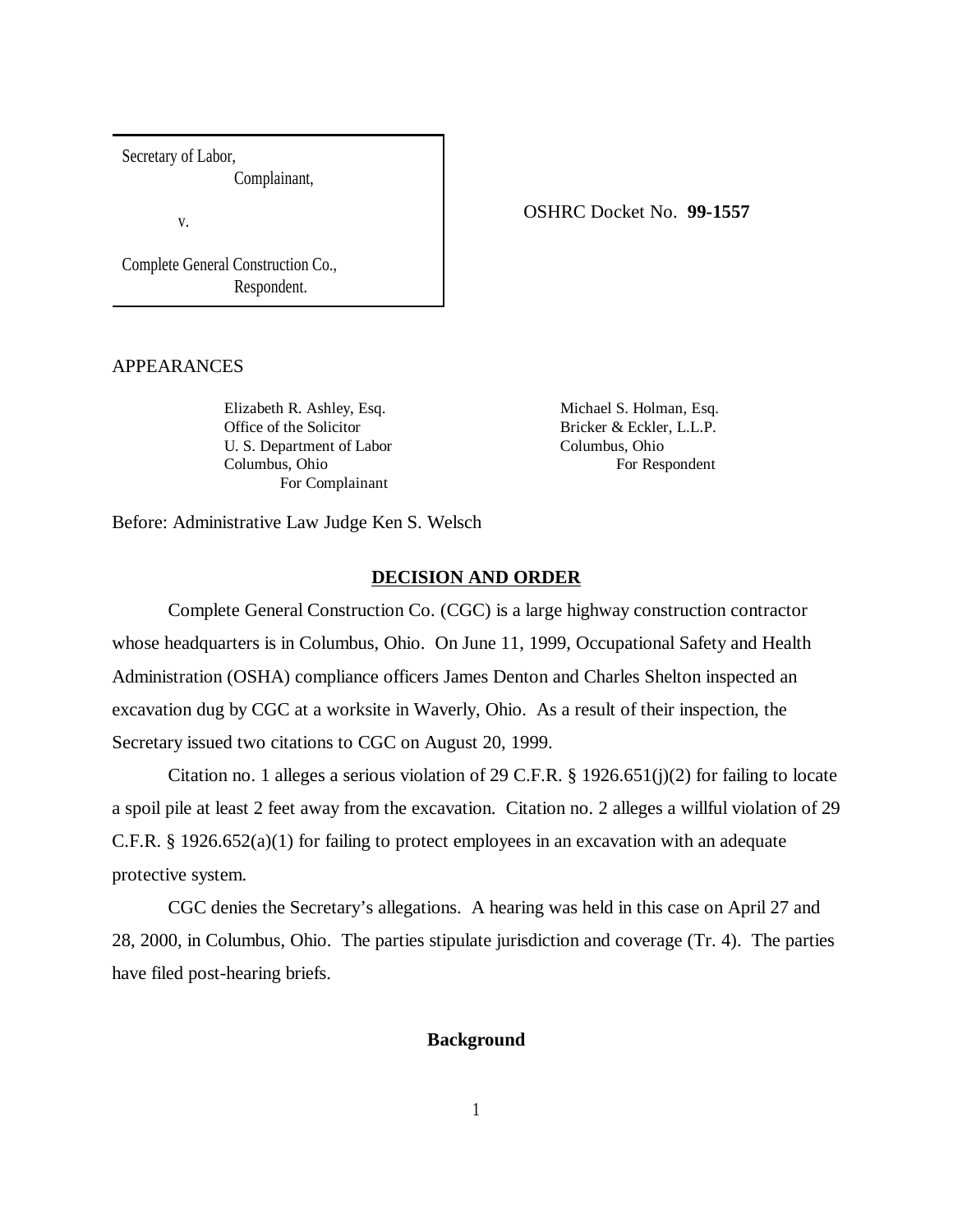Secretary of Labor,

Complainant,

v.

Complete General Construction Co., Respondent.

### APPEARANCES

Elizabeth R. Ashley, Esq. Michael S. Holman, Esq. Office of the Solicitor Bricker & Eckler, L.L.P. U. S. Department of Labor Columbus, Ohio Columbus, Ohio For Respondent For Complainant

OSHRC Docket No. **99-1557**

Before: Administrative Law Judge Ken S. Welsch

## **DECISION AND ORDER**

Complete General Construction Co. (CGC) is a large highway construction contractor whose headquarters is in Columbus, Ohio. On June 11, 1999, Occupational Safety and Health Administration (OSHA) compliance officers James Denton and Charles Shelton inspected an excavation dug by CGC at a worksite in Waverly, Ohio. As a result of their inspection, the Secretary issued two citations to CGC on August 20, 1999.

Citation no. 1 alleges a serious violation of 29 C.F.R. § 1926.651(j)(2) for failing to locate a spoil pile at least 2 feet away from the excavation. Citation no. 2 alleges a willful violation of 29 C.F.R. § 1926.652(a)(1) for failing to protect employees in an excavation with an adequate protective system.

CGC denies the Secretary's allegations. A hearing was held in this case on April 27 and 28, 2000, in Columbus, Ohio. The parties stipulate jurisdiction and coverage (Tr. 4). The parties have filed post-hearing briefs.

#### **Background**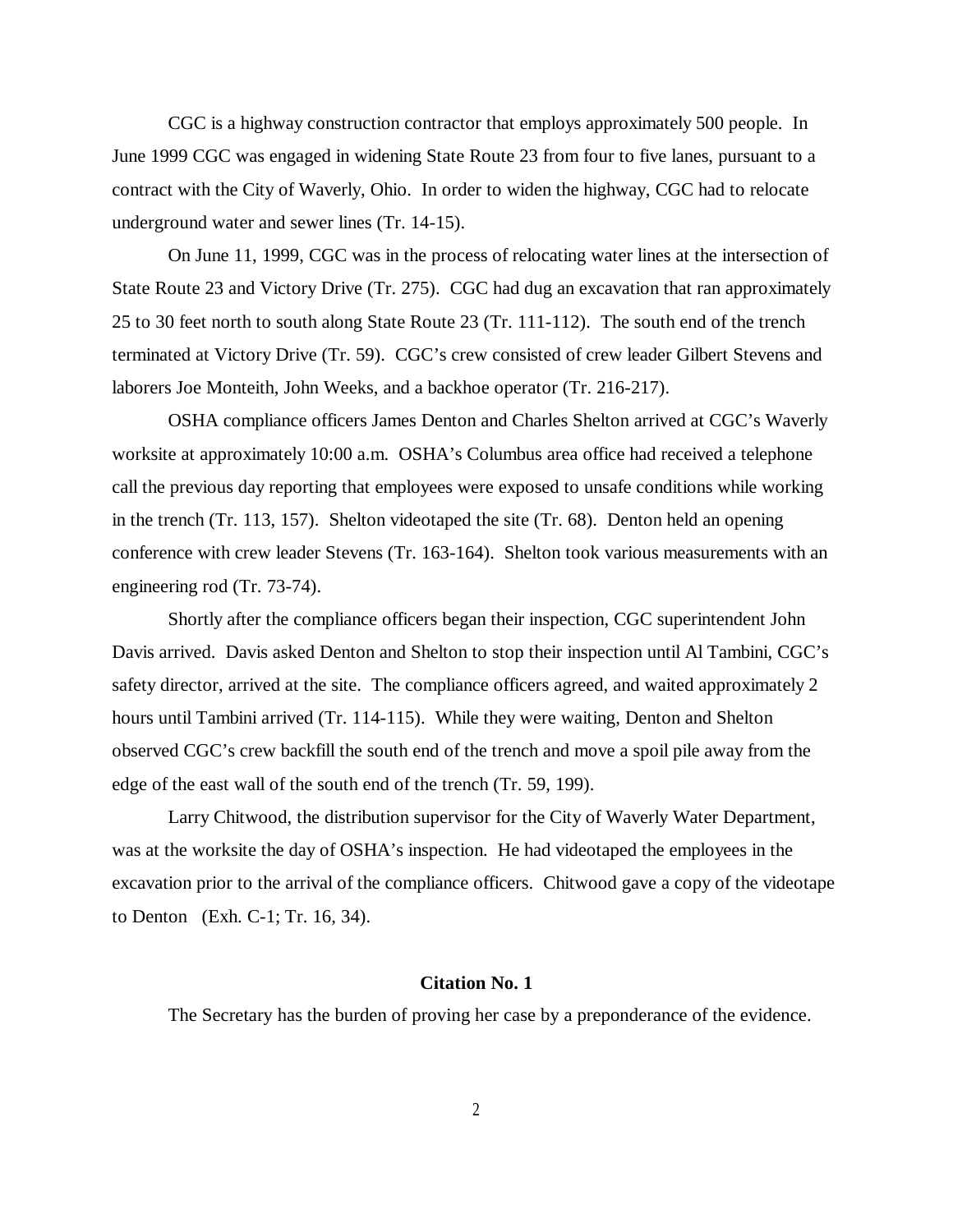CGC is a highway construction contractor that employs approximately 500 people. In June 1999 CGC was engaged in widening State Route 23 from four to five lanes, pursuant to a contract with the City of Waverly, Ohio. In order to widen the highway, CGC had to relocate underground water and sewer lines (Tr. 14-15).

On June 11, 1999, CGC was in the process of relocating water lines at the intersection of State Route 23 and Victory Drive (Tr. 275). CGC had dug an excavation that ran approximately 25 to 30 feet north to south along State Route 23 (Tr. 111-112). The south end of the trench terminated at Victory Drive (Tr. 59). CGC's crew consisted of crew leader Gilbert Stevens and laborers Joe Monteith, John Weeks, and a backhoe operator (Tr. 216-217).

OSHA compliance officers James Denton and Charles Shelton arrived at CGC's Waverly worksite at approximately 10:00 a.m. OSHA's Columbus area office had received a telephone call the previous day reporting that employees were exposed to unsafe conditions while working in the trench (Tr. 113, 157). Shelton videotaped the site (Tr. 68). Denton held an opening conference with crew leader Stevens (Tr. 163-164). Shelton took various measurements with an engineering rod (Tr. 73-74).

Shortly after the compliance officers began their inspection, CGC superintendent John Davis arrived. Davis asked Denton and Shelton to stop their inspection until Al Tambini, CGC's safety director, arrived at the site. The compliance officers agreed, and waited approximately 2 hours until Tambini arrived (Tr. 114-115). While they were waiting, Denton and Shelton observed CGC's crew backfill the south end of the trench and move a spoil pile away from the edge of the east wall of the south end of the trench (Tr. 59, 199).

Larry Chitwood, the distribution supervisor for the City of Waverly Water Department, was at the worksite the day of OSHA's inspection. He had videotaped the employees in the excavation prior to the arrival of the compliance officers. Chitwood gave a copy of the videotape to Denton (Exh. C-1; Tr. 16, 34).

#### **Citation No. 1**

The Secretary has the burden of proving her case by a preponderance of the evidence.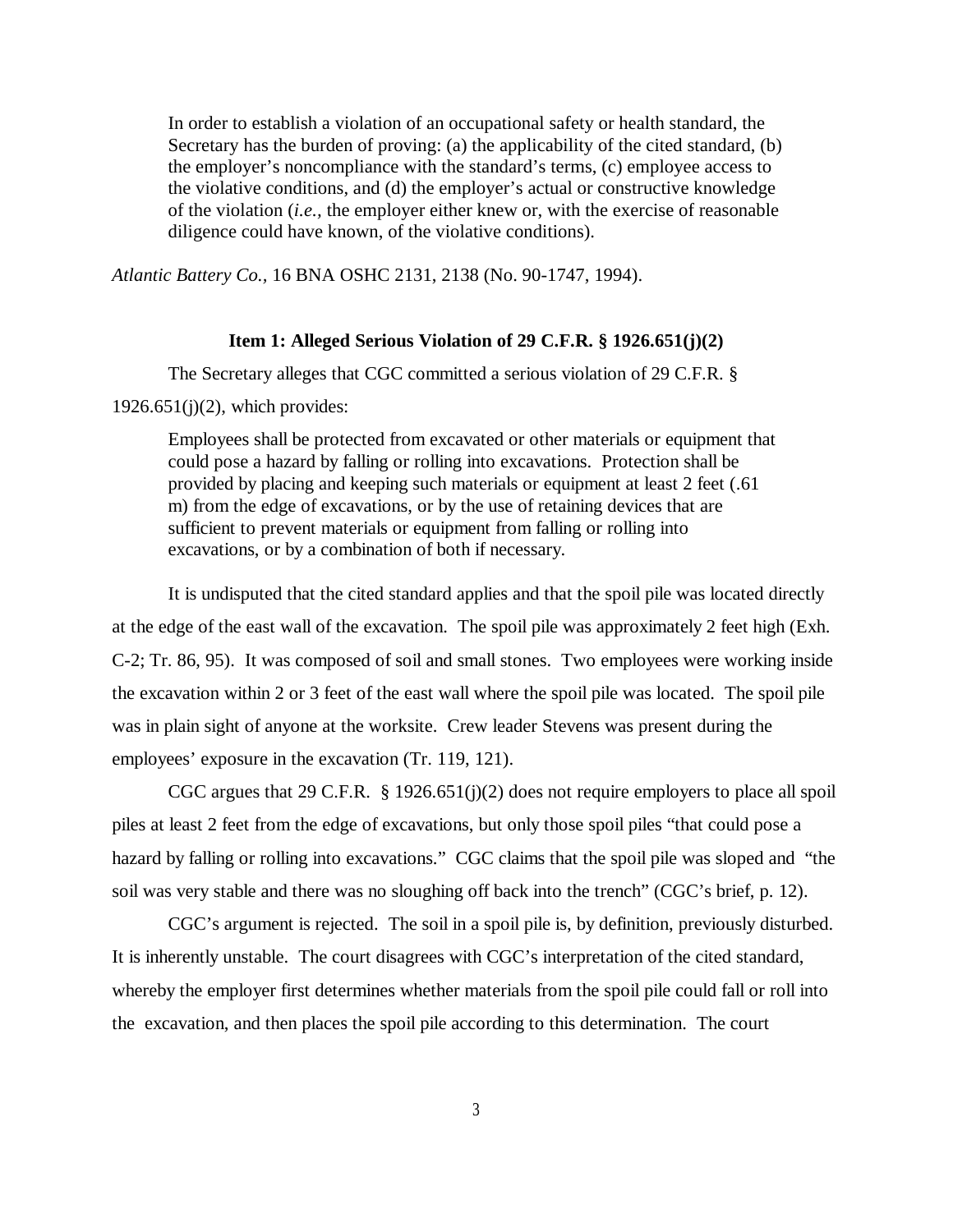In order to establish a violation of an occupational safety or health standard, the Secretary has the burden of proving: (a) the applicability of the cited standard, (b) the employer's noncompliance with the standard's terms, (c) employee access to the violative conditions, and (d) the employer's actual or constructive knowledge of the violation (*i.e.,* the employer either knew or, with the exercise of reasonable diligence could have known, of the violative conditions).

*Atlantic Battery Co.,* 16 BNA OSHC 2131, 2138 (No. 90-1747, 1994).

## **Item 1: Alleged Serious Violation of 29 C.F.R. § 1926.651(j)(2)**

The Secretary alleges that CGC committed a serious violation of 29 C.F.R. §

 $1926.651(j)(2)$ , which provides:

Employees shall be protected from excavated or other materials or equipment that could pose a hazard by falling or rolling into excavations. Protection shall be provided by placing and keeping such materials or equipment at least 2 feet (.61 m) from the edge of excavations, or by the use of retaining devices that are sufficient to prevent materials or equipment from falling or rolling into excavations, or by a combination of both if necessary.

It is undisputed that the cited standard applies and that the spoil pile was located directly at the edge of the east wall of the excavation. The spoil pile was approximately 2 feet high (Exh. C-2; Tr. 86, 95). It was composed of soil and small stones. Two employees were working inside the excavation within 2 or 3 feet of the east wall where the spoil pile was located. The spoil pile was in plain sight of anyone at the worksite. Crew leader Stevens was present during the employees' exposure in the excavation (Tr. 119, 121).

CGC argues that 29 C.F.R. § 1926.651(j)(2) does not require employers to place all spoil piles at least 2 feet from the edge of excavations, but only those spoil piles "that could pose a hazard by falling or rolling into excavations." CGC claims that the spoil pile was sloped and "the soil was very stable and there was no sloughing off back into the trench" (CGC's brief, p. 12).

CGC's argument is rejected. The soil in a spoil pile is, by definition, previously disturbed. It is inherently unstable. The court disagrees with CGC's interpretation of the cited standard, whereby the employer first determines whether materials from the spoil pile could fall or roll into the excavation, and then places the spoil pile according to this determination. The court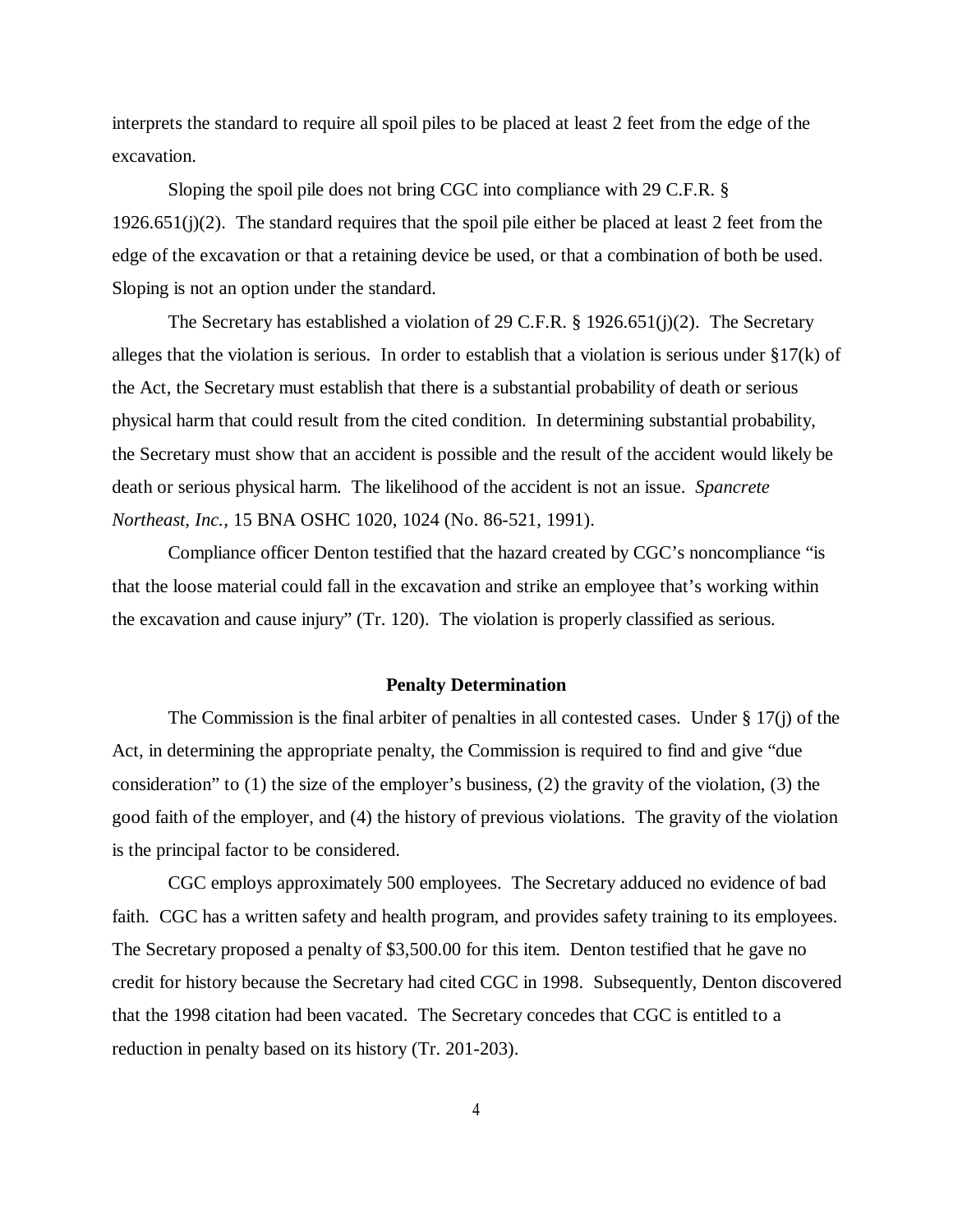interprets the standard to require all spoil piles to be placed at least 2 feet from the edge of the excavation.

Sloping the spoil pile does not bring CGC into compliance with 29 C.F.R. § 1926.651(j)(2). The standard requires that the spoil pile either be placed at least 2 feet from the edge of the excavation or that a retaining device be used, or that a combination of both be used. Sloping is not an option under the standard.

The Secretary has established a violation of 29 C.F.R. § 1926.651(j)(2). The Secretary alleges that the violation is serious. In order to establish that a violation is serious under §17(k) of the Act, the Secretary must establish that there is a substantial probability of death or serious physical harm that could result from the cited condition. In determining substantial probability, the Secretary must show that an accident is possible and the result of the accident would likely be death or serious physical harm. The likelihood of the accident is not an issue. *Spancrete Northeast, Inc.,* 15 BNA OSHC 1020, 1024 (No. 86-521, 1991).

Compliance officer Denton testified that the hazard created by CGC's noncompliance "is that the loose material could fall in the excavation and strike an employee that's working within the excavation and cause injury" (Tr. 120). The violation is properly classified as serious.

#### **Penalty Determination**

The Commission is the final arbiter of penalties in all contested cases. Under  $\S 17(i)$  of the Act, in determining the appropriate penalty, the Commission is required to find and give "due consideration" to (1) the size of the employer's business, (2) the gravity of the violation, (3) the good faith of the employer, and (4) the history of previous violations. The gravity of the violation is the principal factor to be considered.

CGC employs approximately 500 employees. The Secretary adduced no evidence of bad faith. CGC has a written safety and health program, and provides safety training to its employees. The Secretary proposed a penalty of \$3,500.00 for this item. Denton testified that he gave no credit for history because the Secretary had cited CGC in 1998. Subsequently, Denton discovered that the 1998 citation had been vacated. The Secretary concedes that CGC is entitled to a reduction in penalty based on its history (Tr. 201-203).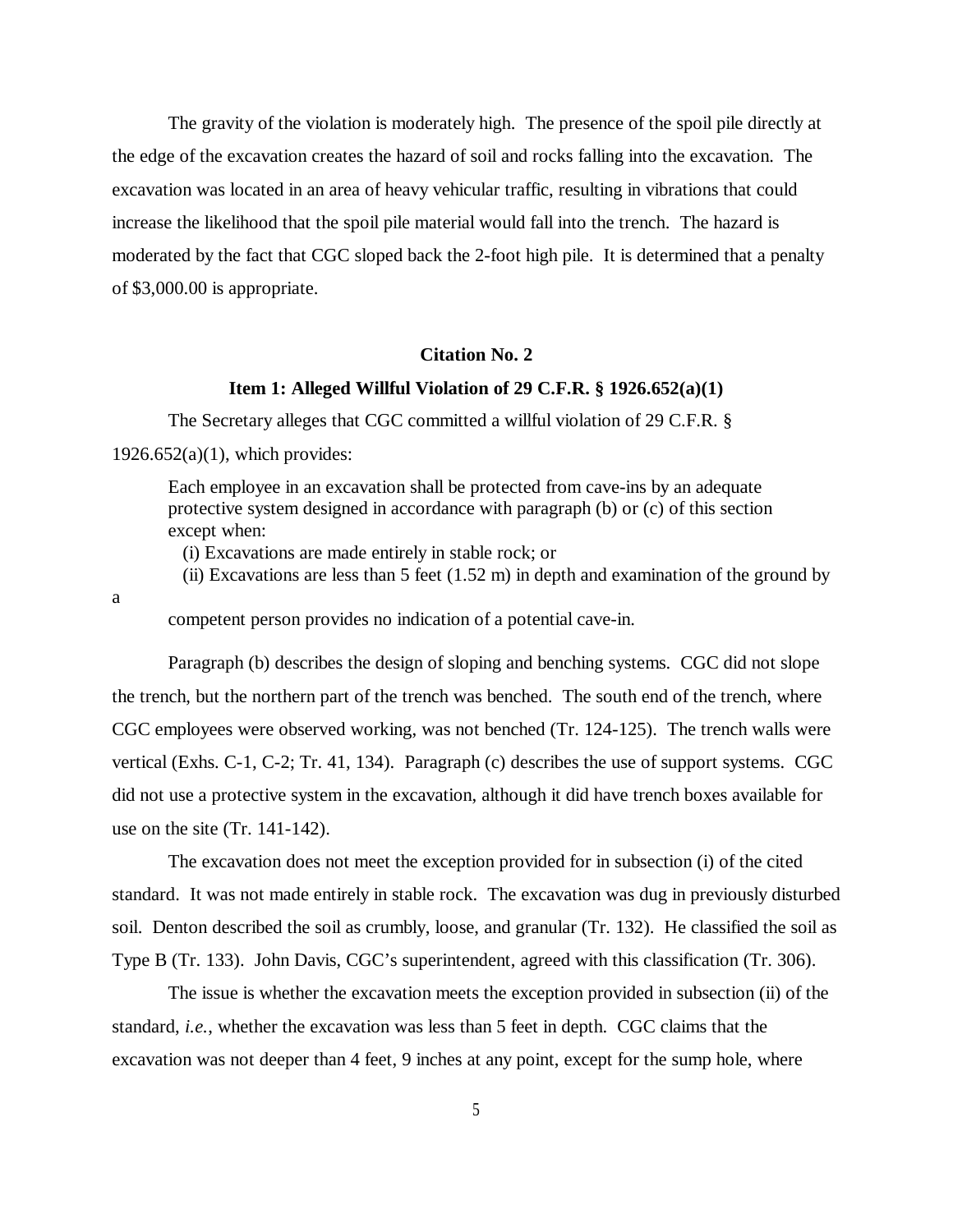The gravity of the violation is moderately high. The presence of the spoil pile directly at the edge of the excavation creates the hazard of soil and rocks falling into the excavation. The excavation was located in an area of heavy vehicular traffic, resulting in vibrations that could increase the likelihood that the spoil pile material would fall into the trench. The hazard is moderated by the fact that CGC sloped back the 2-foot high pile. It is determined that a penalty of \$3,000.00 is appropriate.

### **Citation No. 2**

## **Item 1: Alleged Willful Violation of 29 C.F.R. § 1926.652(a)(1)**

The Secretary alleges that CGC committed a willful violation of 29 C.F.R. §  $1926.652(a)(1)$ , which provides:

Each employee in an excavation shall be protected from cave-ins by an adequate protective system designed in accordance with paragraph (b) or (c) of this section except when:

(i) Excavations are made entirely in stable rock; or

(ii) Excavations are less than 5 feet  $(1.52 \text{ m})$  in depth and examination of the ground by

a

competent person provides no indication of a potential cave-in.

Paragraph (b) describes the design of sloping and benching systems. CGC did not slope the trench, but the northern part of the trench was benched. The south end of the trench, where CGC employees were observed working, was not benched (Tr. 124-125). The trench walls were vertical (Exhs. C-1, C-2; Tr. 41, 134). Paragraph (c) describes the use of support systems. CGC did not use a protective system in the excavation, although it did have trench boxes available for use on the site (Tr. 141-142).

The excavation does not meet the exception provided for in subsection (i) of the cited standard. It was not made entirely in stable rock. The excavation was dug in previously disturbed soil. Denton described the soil as crumbly, loose, and granular (Tr. 132). He classified the soil as Type B (Tr. 133). John Davis, CGC's superintendent, agreed with this classification (Tr. 306).

The issue is whether the excavation meets the exception provided in subsection (ii) of the standard, *i.e.*, whether the excavation was less than 5 feet in depth. CGC claims that the excavation was not deeper than 4 feet, 9 inches at any point, except for the sump hole, where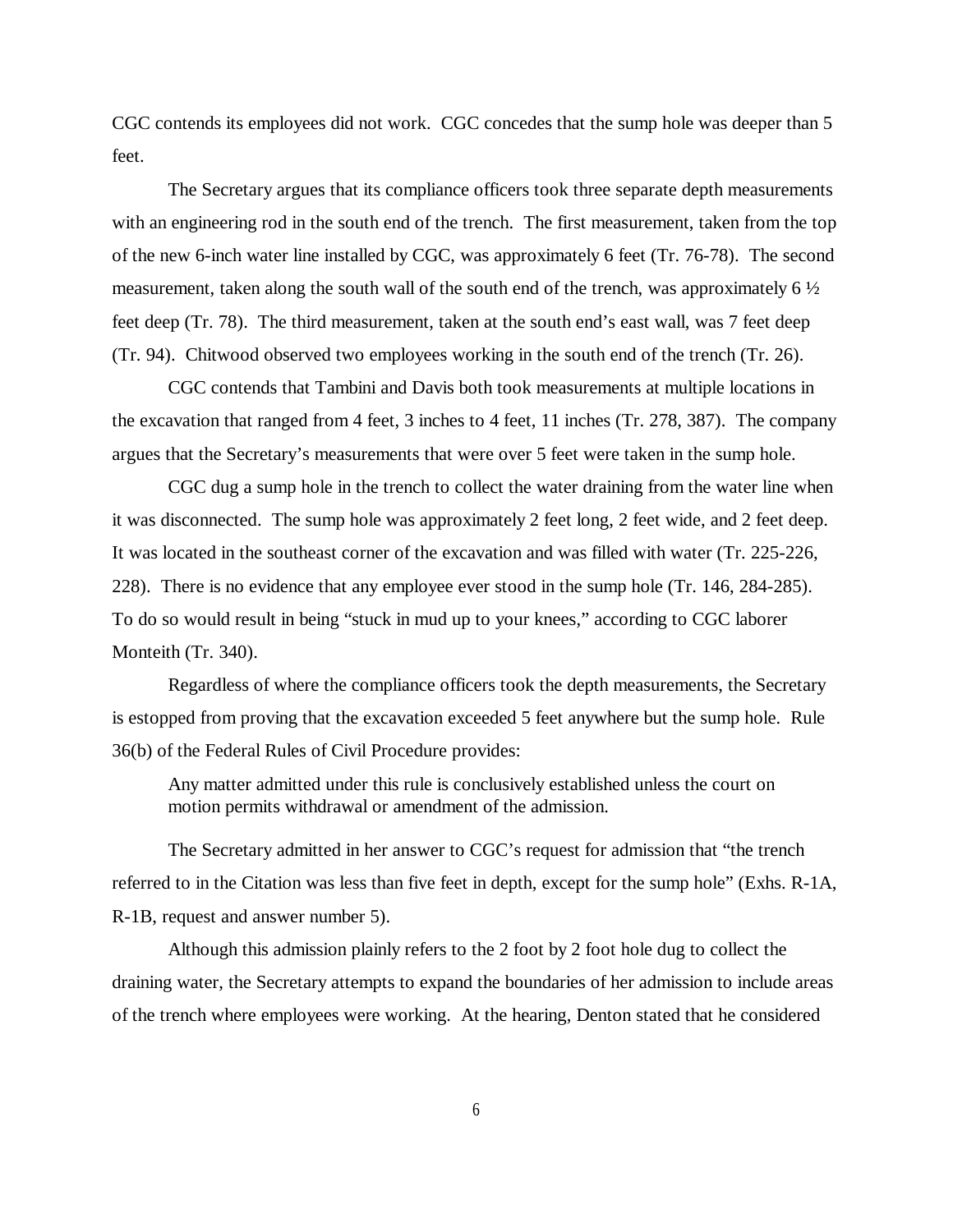CGC contends its employees did not work. CGC concedes that the sump hole was deeper than 5 feet.

The Secretary argues that its compliance officers took three separate depth measurements with an engineering rod in the south end of the trench. The first measurement, taken from the top of the new 6-inch water line installed by CGC, was approximately 6 feet (Tr. 76-78). The second measurement, taken along the south wall of the south end of the trench, was approximately 6 ½ feet deep (Tr. 78). The third measurement, taken at the south end's east wall, was 7 feet deep (Tr. 94). Chitwood observed two employees working in the south end of the trench (Tr. 26).

CGC contends that Tambini and Davis both took measurements at multiple locations in the excavation that ranged from 4 feet, 3 inches to 4 feet, 11 inches (Tr. 278, 387). The company argues that the Secretary's measurements that were over 5 feet were taken in the sump hole.

CGC dug a sump hole in the trench to collect the water draining from the water line when it was disconnected. The sump hole was approximately 2 feet long, 2 feet wide, and 2 feet deep. It was located in the southeast corner of the excavation and was filled with water (Tr. 225-226, 228). There is no evidence that any employee ever stood in the sump hole (Tr. 146, 284-285). To do so would result in being "stuck in mud up to your knees," according to CGC laborer Monteith (Tr. 340).

Regardless of where the compliance officers took the depth measurements, the Secretary is estopped from proving that the excavation exceeded 5 feet anywhere but the sump hole. Rule 36(b) of the Federal Rules of Civil Procedure provides:

Any matter admitted under this rule is conclusively established unless the court on motion permits withdrawal or amendment of the admission.

The Secretary admitted in her answer to CGC's request for admission that "the trench referred to in the Citation was less than five feet in depth, except for the sump hole" (Exhs. R-1A, R-1B, request and answer number 5).

Although this admission plainly refers to the 2 foot by 2 foot hole dug to collect the draining water, the Secretary attempts to expand the boundaries of her admission to include areas of the trench where employees were working. At the hearing, Denton stated that he considered

6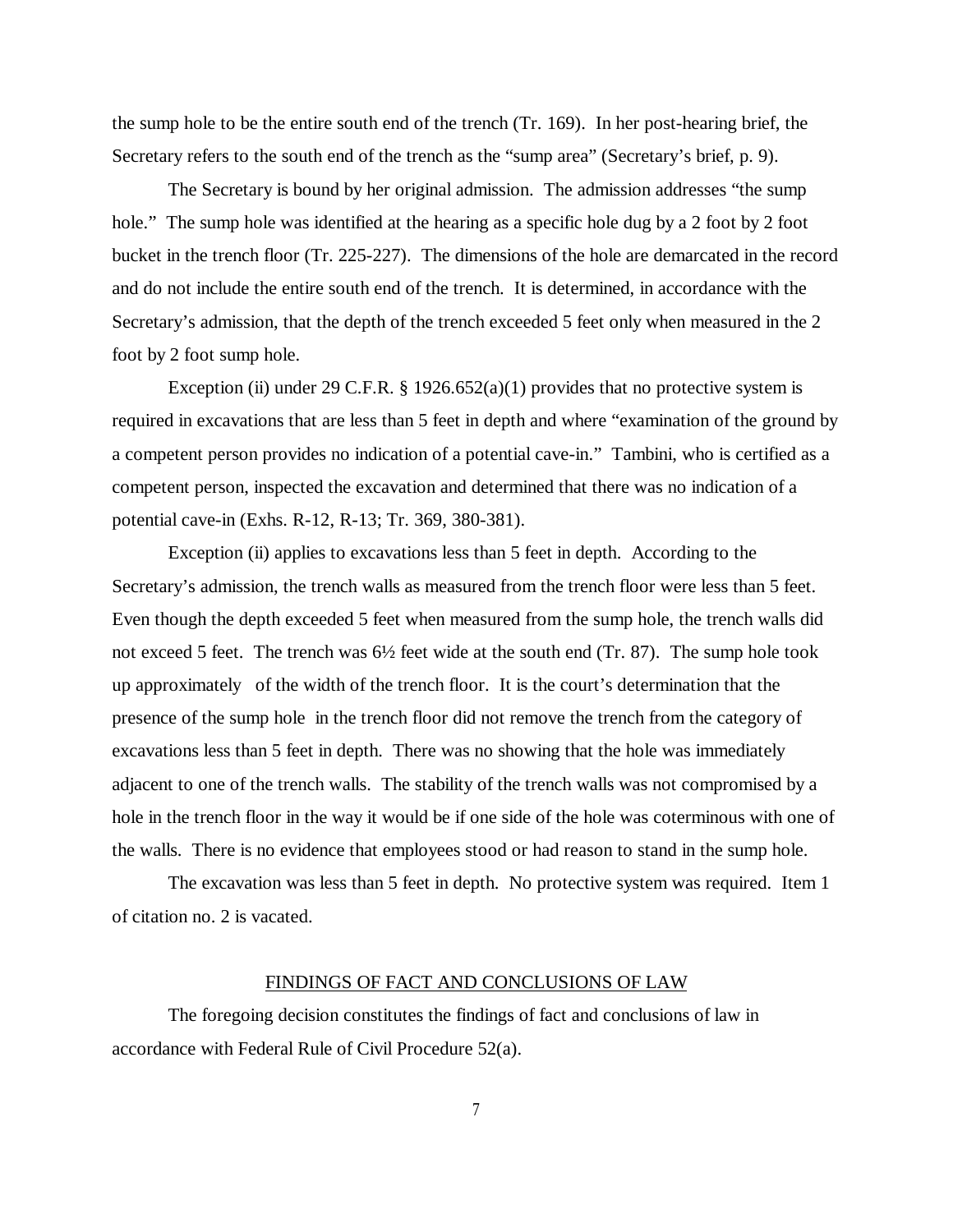the sump hole to be the entire south end of the trench (Tr. 169). In her post-hearing brief, the Secretary refers to the south end of the trench as the "sump area" (Secretary's brief, p. 9).

The Secretary is bound by her original admission. The admission addresses "the sump hole." The sump hole was identified at the hearing as a specific hole dug by a 2 foot by 2 foot bucket in the trench floor (Tr. 225-227). The dimensions of the hole are demarcated in the record and do not include the entire south end of the trench. It is determined, in accordance with the Secretary's admission, that the depth of the trench exceeded 5 feet only when measured in the 2 foot by 2 foot sump hole.

Exception (ii) under 29 C.F.R. § 1926.652(a)(1) provides that no protective system is required in excavations that are less than 5 feet in depth and where "examination of the ground by a competent person provides no indication of a potential cave-in." Tambini, who is certified as a competent person, inspected the excavation and determined that there was no indication of a potential cave-in (Exhs. R-12, R-13; Tr. 369, 380-381).

Exception (ii) applies to excavations less than 5 feet in depth. According to the Secretary's admission, the trench walls as measured from the trench floor were less than 5 feet. Even though the depth exceeded 5 feet when measured from the sump hole, the trench walls did not exceed 5 feet. The trench was 6½ feet wide at the south end (Tr. 87). The sump hole took up approximately of the width of the trench floor. It is the court's determination that the presence of the sump hole in the trench floor did not remove the trench from the category of excavations less than 5 feet in depth. There was no showing that the hole was immediately adjacent to one of the trench walls. The stability of the trench walls was not compromised by a hole in the trench floor in the way it would be if one side of the hole was coterminous with one of the walls. There is no evidence that employees stood or had reason to stand in the sump hole.

The excavation was less than 5 feet in depth. No protective system was required. Item 1 of citation no. 2 is vacated.

#### FINDINGS OF FACT AND CONCLUSIONS OF LAW

The foregoing decision constitutes the findings of fact and conclusions of law in accordance with Federal Rule of Civil Procedure 52(a).